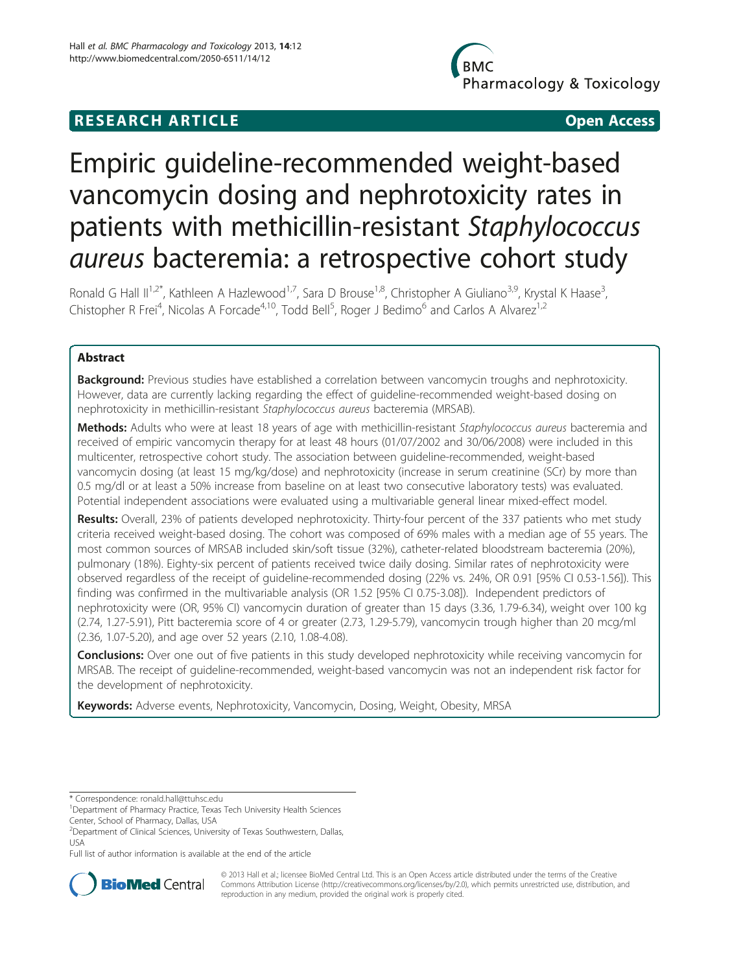# R E S EAR CH A R TIC L E Open Access

Pharmacology & Toxicology

# Empiric guideline-recommended weight-based vancomycin dosing and nephrotoxicity rates in patients with methicillin-resistant Staphylococcus aureus bacteremia: a retrospective cohort study

Ronald G Hall II<sup>1,2\*</sup>, Kathleen A Hazlewood<sup>1,7</sup>, Sara D Brouse<sup>1,8</sup>, Christopher A Giuliano<sup>3,9</sup>, Krystal K Haase<sup>3</sup>, , Chistopher R Frei<sup>4</sup>, Nicolas A Forcade<sup>4,10</sup>, Todd Bell<sup>5</sup>, Roger J Bedimo<sup>6</sup> and Carlos A Alvarez<sup>1,2</sup>

# Abstract

Background: Previous studies have established a correlation between vancomycin troughs and nephrotoxicity. However, data are currently lacking regarding the effect of guideline-recommended weight-based dosing on nephrotoxicity in methicillin-resistant Staphylococcus aureus bacteremia (MRSAB).

Methods: Adults who were at least 18 years of age with methicillin-resistant Staphylococcus aureus bacteremia and received of empiric vancomycin therapy for at least 48 hours (01/07/2002 and 30/06/2008) were included in this multicenter, retrospective cohort study. The association between guideline-recommended, weight-based vancomycin dosing (at least 15 mg/kg/dose) and nephrotoxicity (increase in serum creatinine (SCr) by more than 0.5 mg/dl or at least a 50% increase from baseline on at least two consecutive laboratory tests) was evaluated. Potential independent associations were evaluated using a multivariable general linear mixed-effect model.

Results: Overall, 23% of patients developed nephrotoxicity. Thirty-four percent of the 337 patients who met study criteria received weight-based dosing. The cohort was composed of 69% males with a median age of 55 years. The most common sources of MRSAB included skin/soft tissue (32%), catheter-related bloodstream bacteremia (20%), pulmonary (18%). Eighty-six percent of patients received twice daily dosing. Similar rates of nephrotoxicity were observed regardless of the receipt of guideline-recommended dosing (22% vs. 24%, OR 0.91 [95% CI 0.53-1.56]). This finding was confirmed in the multivariable analysis (OR 1.52 [95% CI 0.75-3.08]). Independent predictors of nephrotoxicity were (OR, 95% CI) vancomycin duration of greater than 15 days (3.36, 1.79-6.34), weight over 100 kg (2.74, 1.27-5.91), Pitt bacteremia score of 4 or greater (2.73, 1.29-5.79), vancomycin trough higher than 20 mcg/ml (2.36, 1.07-5.20), and age over 52 years (2.10, 1.08-4.08).

**Conclusions:** Over one out of five patients in this study developed nephrotoxicity while receiving vancomycin for MRSAB. The receipt of guideline-recommended, weight-based vancomycin was not an independent risk factor for the development of nephrotoxicity.

Keywords: Adverse events, Nephrotoxicity, Vancomycin, Dosing, Weight, Obesity, MRSA

Full list of author information is available at the end of the article



© 2013 Hall et al.; licensee BioMed Central Ltd. This is an Open Access article distributed under the terms of the Creative Commons Attribution License [\(http://creativecommons.org/licenses/by/2.0\)](http://creativecommons.org/licenses/by/2.0), which permits unrestricted use, distribution, and reproduction in any medium, provided the original work is properly cited.

<sup>\*</sup> Correspondence: [ronald.hall@ttuhsc.edu](mailto:ronald.hall@ttuhsc.edu) <sup>1</sup>

<sup>&</sup>lt;sup>1</sup>Department of Pharmacy Practice, Texas Tech University Health Sciences Center, School of Pharmacy, Dallas, USA

<sup>2</sup> Department of Clinical Sciences, University of Texas Southwestern, Dallas, USA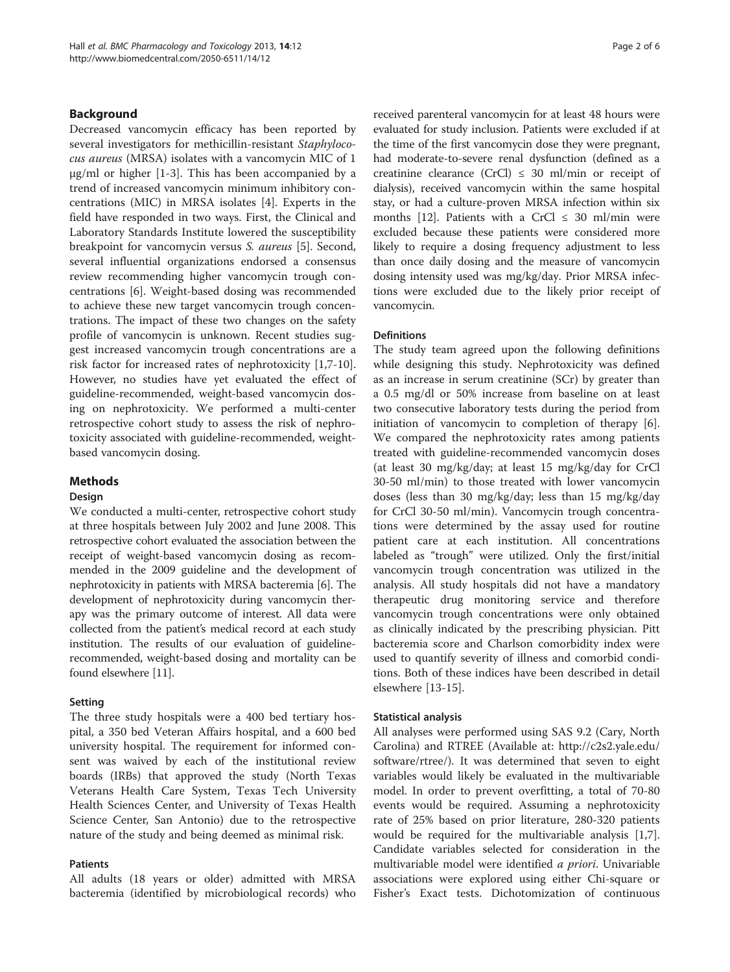# Background

Decreased vancomycin efficacy has been reported by several investigators for methicillin-resistant Staphylococus aureus (MRSA) isolates with a vancomycin MIC of 1 μg/ml or higher [\[1](#page-5-0)-[3\]](#page-5-0). This has been accompanied by a trend of increased vancomycin minimum inhibitory concentrations (MIC) in MRSA isolates [\[4](#page-5-0)]. Experts in the field have responded in two ways. First, the Clinical and Laboratory Standards Institute lowered the susceptibility breakpoint for vancomycin versus S. aureus [\[5\]](#page-5-0). Second, several influential organizations endorsed a consensus review recommending higher vancomycin trough concentrations [[6\]](#page-5-0). Weight-based dosing was recommended to achieve these new target vancomycin trough concentrations. The impact of these two changes on the safety profile of vancomycin is unknown. Recent studies suggest increased vancomycin trough concentrations are a risk factor for increased rates of nephrotoxicity [[1,7-10](#page-5-0)]. However, no studies have yet evaluated the effect of guideline-recommended, weight-based vancomycin dosing on nephrotoxicity. We performed a multi-center retrospective cohort study to assess the risk of nephrotoxicity associated with guideline-recommended, weightbased vancomycin dosing.

## Methods

## Design

We conducted a multi-center, retrospective cohort study at three hospitals between July 2002 and June 2008. This retrospective cohort evaluated the association between the receipt of weight-based vancomycin dosing as recommended in the 2009 guideline and the development of nephrotoxicity in patients with MRSA bacteremia [[6\]](#page-5-0). The development of nephrotoxicity during vancomycin therapy was the primary outcome of interest. All data were collected from the patient's medical record at each study institution. The results of our evaluation of guidelinerecommended, weight-based dosing and mortality can be found elsewhere [[11](#page-5-0)].

#### Setting

The three study hospitals were a 400 bed tertiary hospital, a 350 bed Veteran Affairs hospital, and a 600 bed university hospital. The requirement for informed consent was waived by each of the institutional review boards (IRBs) that approved the study (North Texas Veterans Health Care System, Texas Tech University Health Sciences Center, and University of Texas Health Science Center, San Antonio) due to the retrospective nature of the study and being deemed as minimal risk.

#### Patients

All adults (18 years or older) admitted with MRSA bacteremia (identified by microbiological records) who

received parenteral vancomycin for at least 48 hours were evaluated for study inclusion. Patients were excluded if at the time of the first vancomycin dose they were pregnant, had moderate-to-severe renal dysfunction (defined as a creatinine clearance (CrCl)  $\leq$  30 ml/min or receipt of dialysis), received vancomycin within the same hospital stay, or had a culture-proven MRSA infection within six months [[12](#page-5-0)]. Patients with a CrCl  $\leq$  30 ml/min were excluded because these patients were considered more likely to require a dosing frequency adjustment to less than once daily dosing and the measure of vancomycin dosing intensity used was mg/kg/day. Prior MRSA infections were excluded due to the likely prior receipt of vancomycin.

#### **Definitions**

The study team agreed upon the following definitions while designing this study. Nephrotoxicity was defined as an increase in serum creatinine (SCr) by greater than a 0.5 mg/dl or 50% increase from baseline on at least two consecutive laboratory tests during the period from initiation of vancomycin to completion of therapy [\[6](#page-5-0)]. We compared the nephrotoxicity rates among patients treated with guideline-recommended vancomycin doses (at least 30 mg/kg/day; at least 15 mg/kg/day for CrCl 30-50 ml/min) to those treated with lower vancomycin doses (less than 30 mg/kg/day; less than 15 mg/kg/day for CrCl 30-50 ml/min). Vancomycin trough concentrations were determined by the assay used for routine patient care at each institution. All concentrations labeled as "trough" were utilized. Only the first/initial vancomycin trough concentration was utilized in the analysis. All study hospitals did not have a mandatory therapeutic drug monitoring service and therefore vancomycin trough concentrations were only obtained as clinically indicated by the prescribing physician. Pitt bacteremia score and Charlson comorbidity index were used to quantify severity of illness and comorbid conditions. Both of these indices have been described in detail elsewhere [[13-15\]](#page-5-0).

#### Statistical analysis

All analyses were performed using SAS 9.2 (Cary, North Carolina) and RTREE (Available at: [http://c2s2.yale.edu/](http://c2s2.yale.edu/software/rtree/) [software/rtree/](http://c2s2.yale.edu/software/rtree/)). It was determined that seven to eight variables would likely be evaluated in the multivariable model. In order to prevent overfitting, a total of 70-80 events would be required. Assuming a nephrotoxicity rate of 25% based on prior literature, 280-320 patients would be required for the multivariable analysis [\[1,7](#page-5-0)]. Candidate variables selected for consideration in the multivariable model were identified a priori. Univariable associations were explored using either Chi-square or Fisher's Exact tests. Dichotomization of continuous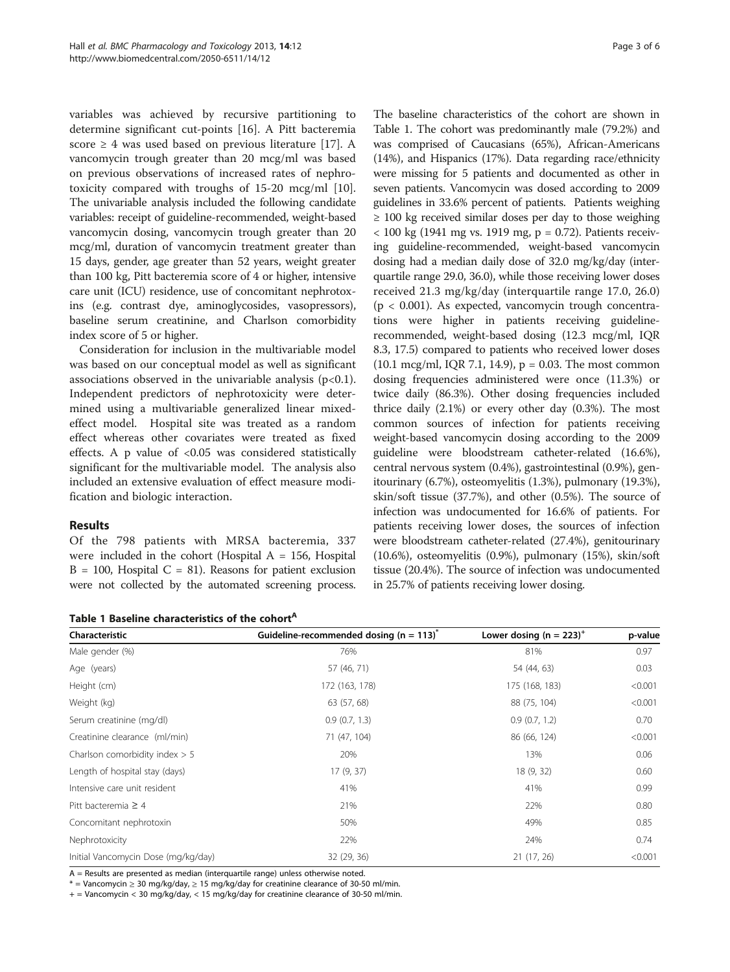variables was achieved by recursive partitioning to determine significant cut-points [\[16\]](#page-5-0). A Pitt bacteremia score  $\geq 4$  was used based on previous literature [[17\]](#page-5-0). A vancomycin trough greater than 20 mcg/ml was based on previous observations of increased rates of nephrotoxicity compared with troughs of 15-20 mcg/ml [\[10](#page-5-0)]. The univariable analysis included the following candidate variables: receipt of guideline-recommended, weight-based vancomycin dosing, vancomycin trough greater than 20 mcg/ml, duration of vancomycin treatment greater than 15 days, gender, age greater than 52 years, weight greater than 100 kg, Pitt bacteremia score of 4 or higher, intensive care unit (ICU) residence, use of concomitant nephrotoxins (e.g. contrast dye, aminoglycosides, vasopressors), baseline serum creatinine, and Charlson comorbidity index score of 5 or higher.

Consideration for inclusion in the multivariable model was based on our conceptual model as well as significant associations observed in the univariable analysis  $(p<0.1)$ . Independent predictors of nephrotoxicity were determined using a multivariable generalized linear mixedeffect model. Hospital site was treated as a random effect whereas other covariates were treated as fixed effects. A p value of <0.05 was considered statistically significant for the multivariable model. The analysis also included an extensive evaluation of effect measure modification and biologic interaction.

# Results

Of the 798 patients with MRSA bacteremia, 337 were included in the cohort (Hospital  $A = 156$ , Hospital  $B = 100$ , Hospital C = 81). Reasons for patient exclusion were not collected by the automated screening process.

Table 1 Baseline characteristics of the cohort<sup>A</sup>

The baseline characteristics of the cohort are shown in Table 1. The cohort was predominantly male (79.2%) and was comprised of Caucasians (65%), African-Americans (14%), and Hispanics (17%). Data regarding race/ethnicity were missing for 5 patients and documented as other in seven patients. Vancomycin was dosed according to 2009 guidelines in 33.6% percent of patients. Patients weighing ≥ 100 kg received similar doses per day to those weighing  $<$  100 kg (1941 mg vs. 1919 mg, p = 0.72). Patients receiving guideline-recommended, weight-based vancomycin dosing had a median daily dose of 32.0 mg/kg/day (interquartile range 29.0, 36.0), while those receiving lower doses received 21.3 mg/kg/day (interquartile range 17.0, 26.0)  $(p < 0.001)$ . As expected, vancomycin trough concentrations were higher in patients receiving guidelinerecommended, weight-based dosing (12.3 mcg/ml, IQR 8.3, 17.5) compared to patients who received lower doses (10.1 mcg/ml, IQR 7.1, 14.9),  $p = 0.03$ . The most common dosing frequencies administered were once (11.3%) or twice daily (86.3%). Other dosing frequencies included thrice daily (2.1%) or every other day (0.3%). The most common sources of infection for patients receiving weight-based vancomycin dosing according to the 2009 guideline were bloodstream catheter-related (16.6%), central nervous system (0.4%), gastrointestinal (0.9%), genitourinary (6.7%), osteomyelitis (1.3%), pulmonary (19.3%), skin/soft tissue (37.7%), and other (0.5%). The source of infection was undocumented for 16.6% of patients. For patients receiving lower doses, the sources of infection were bloodstream catheter-related (27.4%), genitourinary (10.6%), osteomyelitis (0.9%), pulmonary (15%), skin/soft tissue (20.4%). The source of infection was undocumented in 25.7% of patients receiving lower dosing.

| Characteristic                      | Guideline-recommended dosing ( $n = 113$ ) | Lower dosing $(n = 223)^+$ | p-value |
|-------------------------------------|--------------------------------------------|----------------------------|---------|
| Male gender (%)                     | 76%                                        | 81%                        | 0.97    |
| Age (years)                         | 57 (46, 71)                                | 54 (44, 63)                | 0.03    |
| Height (cm)                         | 172 (163, 178)                             | 175 (168, 183)             | < 0.001 |
| Weight (kg)                         | 63 (57, 68)                                | 88 (75, 104)               | < 0.001 |
| Serum creatinine (mg/dl)            | 0.9(0.7, 1.3)                              | 0.9(0.7, 1.2)              | 0.70    |
| Creatinine clearance (ml/min)       | 71 (47, 104)                               | 86 (66, 124)               | < 0.001 |
| Charlson comorbidity index $> 5$    | 20%                                        | 13%                        | 0.06    |
| Length of hospital stay (days)      | 17(9, 37)                                  | 18 (9, 32)                 | 0.60    |
| Intensive care unit resident        | 41%                                        | 41%                        | 0.99    |
| Pitt bacteremia $\geq 4$            | 21%                                        | 22%                        | 0.80    |
| Concomitant nephrotoxin             | 50%                                        | 49%                        | 0.85    |
| Nephrotoxicity                      | 22%                                        | 24%                        | 0.74    |
| Initial Vancomycin Dose (mg/kg/day) | 32 (29, 36)                                | 21 (17, 26)                | < 0.001 |

A = Results are presented as median (interquartile range) unless otherwise noted.

\* = Vancomycin  $\geq 30$  mg/kg/day,  $\geq 15$  mg/kg/day for creatinine clearance of 30-50 ml/min.

+ = Vancomycin < 30 mg/kg/day, < 15 mg/kg/day for creatinine clearance of 30-50 ml/min.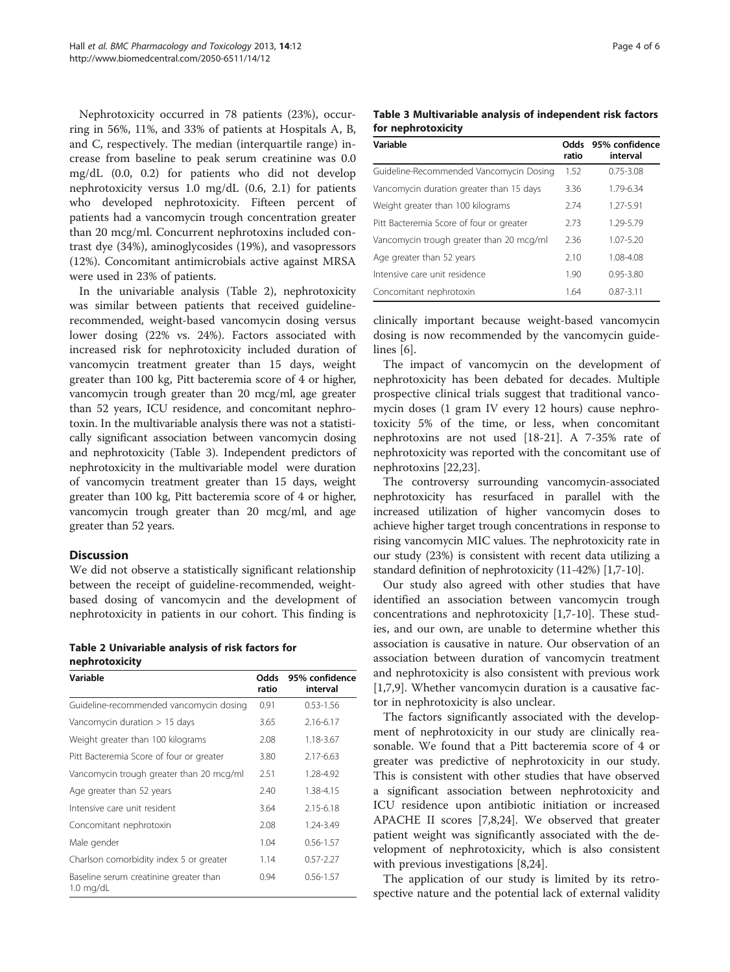Nephrotoxicity occurred in 78 patients (23%), occurring in 56%, 11%, and 33% of patients at Hospitals A, B, and C, respectively. The median (interquartile range) increase from baseline to peak serum creatinine was 0.0 mg/dL (0.0, 0.2) for patients who did not develop nephrotoxicity versus 1.0 mg/dL (0.6, 2.1) for patients who developed nephrotoxicity. Fifteen percent of patients had a vancomycin trough concentration greater than 20 mcg/ml. Concurrent nephrotoxins included contrast dye (34%), aminoglycosides (19%), and vasopressors (12%). Concomitant antimicrobials active against MRSA were used in 23% of patients.

In the univariable analysis (Table 2), nephrotoxicity was similar between patients that received guidelinerecommended, weight-based vancomycin dosing versus lower dosing (22% vs. 24%). Factors associated with increased risk for nephrotoxicity included duration of vancomycin treatment greater than 15 days, weight greater than 100 kg, Pitt bacteremia score of 4 or higher, vancomycin trough greater than 20 mcg/ml, age greater than 52 years, ICU residence, and concomitant nephrotoxin. In the multivariable analysis there was not a statistically significant association between vancomycin dosing and nephrotoxicity (Table 3). Independent predictors of nephrotoxicity in the multivariable model were duration of vancomycin treatment greater than 15 days, weight greater than 100 kg, Pitt bacteremia score of 4 or higher, vancomycin trough greater than 20 mcg/ml, and age greater than 52 years.

## **Discussion**

We did not observe a statistically significant relationship between the receipt of guideline-recommended, weightbased dosing of vancomycin and the development of nephrotoxicity in patients in our cohort. This finding is

Table 2 Univariable analysis of risk factors for nephrotoxicity

| Variable                                                      | Odds<br>ratio | 95% confidence<br>interval |
|---------------------------------------------------------------|---------------|----------------------------|
| Guideline-recommended vancomycin dosing                       | 0.91          | $0.53 - 1.56$              |
| Vancomycin duration $> 15$ days                               | 3.65          | 2.16-6.17                  |
| Weight greater than 100 kilograms                             | 2.08          | 1.18-3.67                  |
| Pitt Bacteremia Score of four or greater                      | 3.80          | 2.17-6.63                  |
| Vancomycin trough greater than 20 mcg/ml                      | 2.51          | 1.28-4.92                  |
| Age greater than 52 years                                     | 2.40          | 1.38-4.15                  |
| Intensive care unit resident                                  | 3.64          | $2.15 - 6.18$              |
| Concomitant nephrotoxin                                       | 2.08          | 1.24-3.49                  |
| Male gender                                                   | 1.04          | $0.56 - 1.57$              |
| Charlson comorbidity index 5 or greater                       | 1.14          | $0.57 - 2.27$              |
| Baseline serum creatinine greater than<br>$1.0 \text{ mg/dL}$ | 0.94          | $0.56 - 1.57$              |

| Table 3 Multivariable analysis of independent risk factors |  |  |
|------------------------------------------------------------|--|--|
| for nephrotoxicity                                         |  |  |

| Variable                                 |      | 95% confidence<br>interval |
|------------------------------------------|------|----------------------------|
| Guideline-Recommended Vancomycin Dosing  | 1.52 | $0.75 - 3.08$              |
| Vancomycin duration greater than 15 days | 3.36 | 1.79-6.34                  |
| Weight greater than 100 kilograms        | 2.74 | 1.27-5.91                  |
| Pitt Bacteremia Score of four or greater | 2.73 | 1.29-5.79                  |
| Vancomycin trough greater than 20 mcg/ml | 2.36 | $1.07 - 5.20$              |
| Age greater than 52 years                | 2.10 | 1.08-4.08                  |
| Intensive care unit residence            | 1.90 | $0.95 - 3.80$              |
| Concomitant nephrotoxin                  | 1.64 | $0.87 - 3.11$              |

clinically important because weight-based vancomycin dosing is now recommended by the vancomycin guidelines [[6](#page-5-0)].

The impact of vancomycin on the development of nephrotoxicity has been debated for decades. Multiple prospective clinical trials suggest that traditional vancomycin doses (1 gram IV every 12 hours) cause nephrotoxicity 5% of the time, or less, when concomitant nephrotoxins are not used [[18](#page-5-0)-[21\]](#page-5-0). A 7-35% rate of nephrotoxicity was reported with the concomitant use of nephrotoxins [[22,23\]](#page-5-0).

The controversy surrounding vancomycin-associated nephrotoxicity has resurfaced in parallel with the increased utilization of higher vancomycin doses to achieve higher target trough concentrations in response to rising vancomycin MIC values. The nephrotoxicity rate in our study (23%) is consistent with recent data utilizing a standard definition of nephrotoxicity (11-42%) [\[1,7](#page-5-0)-[10](#page-5-0)].

Our study also agreed with other studies that have identified an association between vancomycin trough concentrations and nephrotoxicity [[1](#page-5-0),[7-10\]](#page-5-0). These studies, and our own, are unable to determine whether this association is causative in nature. Our observation of an association between duration of vancomycin treatment and nephrotoxicity is also consistent with previous work [[1,7,9\]](#page-5-0). Whether vancomycin duration is a causative factor in nephrotoxicity is also unclear.

The factors significantly associated with the development of nephrotoxicity in our study are clinically reasonable. We found that a Pitt bacteremia score of 4 or greater was predictive of nephrotoxicity in our study. This is consistent with other studies that have observed a significant association between nephrotoxicity and ICU residence upon antibiotic initiation or increased APACHE II scores [[7](#page-5-0),[8](#page-5-0),[24](#page-5-0)]. We observed that greater patient weight was significantly associated with the development of nephrotoxicity, which is also consistent with previous investigations [[8,24\]](#page-5-0).

The application of our study is limited by its retrospective nature and the potential lack of external validity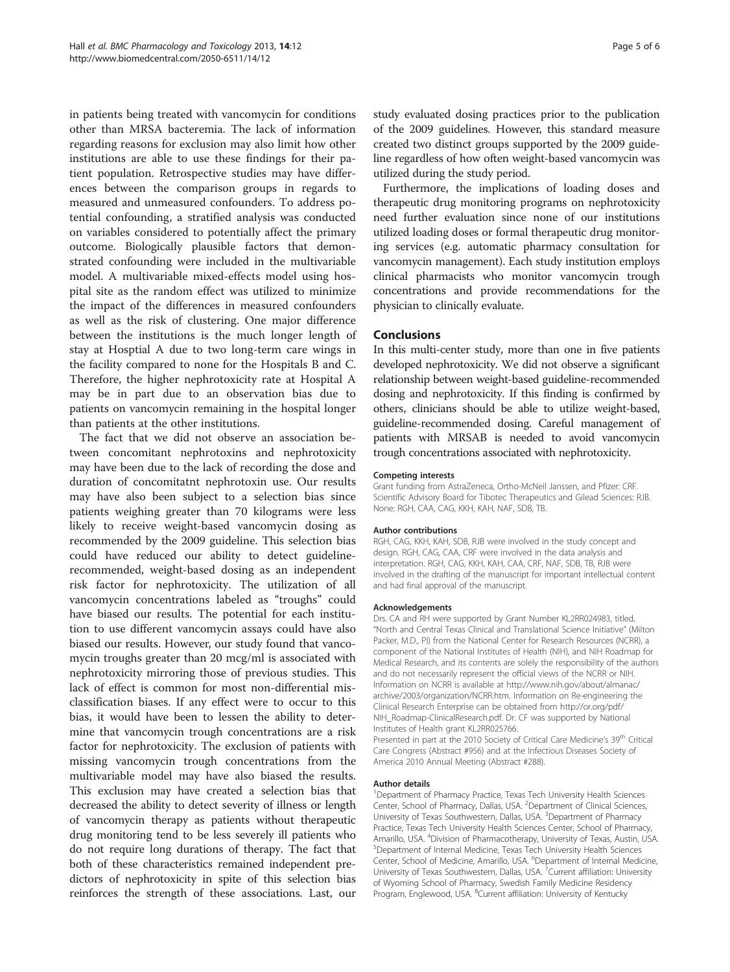in patients being treated with vancomycin for conditions other than MRSA bacteremia. The lack of information regarding reasons for exclusion may also limit how other institutions are able to use these findings for their patient population. Retrospective studies may have differences between the comparison groups in regards to measured and unmeasured confounders. To address potential confounding, a stratified analysis was conducted on variables considered to potentially affect the primary outcome. Biologically plausible factors that demonstrated confounding were included in the multivariable model. A multivariable mixed-effects model using hospital site as the random effect was utilized to minimize the impact of the differences in measured confounders as well as the risk of clustering. One major difference between the institutions is the much longer length of stay at Hosptial A due to two long-term care wings in the facility compared to none for the Hospitals B and C. Therefore, the higher nephrotoxicity rate at Hospital A may be in part due to an observation bias due to patients on vancomycin remaining in the hospital longer than patients at the other institutions.

The fact that we did not observe an association between concomitant nephrotoxins and nephrotoxicity may have been due to the lack of recording the dose and duration of concomitatnt nephrotoxin use. Our results may have also been subject to a selection bias since patients weighing greater than 70 kilograms were less likely to receive weight-based vancomycin dosing as recommended by the 2009 guideline. This selection bias could have reduced our ability to detect guidelinerecommended, weight-based dosing as an independent risk factor for nephrotoxicity. The utilization of all vancomycin concentrations labeled as "troughs" could have biased our results. The potential for each institution to use different vancomycin assays could have also biased our results. However, our study found that vancomycin troughs greater than 20 mcg/ml is associated with nephrotoxicity mirroring those of previous studies. This lack of effect is common for most non-differential misclassification biases. If any effect were to occur to this bias, it would have been to lessen the ability to determine that vancomycin trough concentrations are a risk factor for nephrotoxicity. The exclusion of patients with missing vancomycin trough concentrations from the multivariable model may have also biased the results. This exclusion may have created a selection bias that decreased the ability to detect severity of illness or length of vancomycin therapy as patients without therapeutic drug monitoring tend to be less severely ill patients who do not require long durations of therapy. The fact that both of these characteristics remained independent predictors of nephrotoxicity in spite of this selection bias reinforces the strength of these associations. Last, our

study evaluated dosing practices prior to the publication of the 2009 guidelines. However, this standard measure created two distinct groups supported by the 2009 guideline regardless of how often weight-based vancomycin was utilized during the study period.

Furthermore, the implications of loading doses and therapeutic drug monitoring programs on nephrotoxicity need further evaluation since none of our institutions utilized loading doses or formal therapeutic drug monitoring services (e.g. automatic pharmacy consultation for vancomycin management). Each study institution employs clinical pharmacists who monitor vancomycin trough concentrations and provide recommendations for the physician to clinically evaluate.

# Conclusions

In this multi-center study, more than one in five patients developed nephrotoxicity. We did not observe a significant relationship between weight-based guideline-recommended dosing and nephrotoxicity. If this finding is confirmed by others, clinicians should be able to utilize weight-based, guideline-recommended dosing. Careful management of patients with MRSAB is needed to avoid vancomycin trough concentrations associated with nephrotoxicity.

#### Competing interests

Grant funding from AstraZeneca, Ortho-McNeil Janssen, and Pfizer: CRF. Scientific Advisory Board for Tibotec Therapeutics and Gilead Sciences: RJB. None: RGH, CAA, CAG, KKH, KAH, NAF, SDB, TB.

#### Author contributions

RGH, CAG, KKH, KAH, SDB, RJB were involved in the study concept and design. RGH, CAG, CAA, CRF were involved in the data analysis and interpretation. RGH, CAG, KKH, KAH, CAA, CRF, NAF, SDB, TB, RJB were involved in the drafting of the manuscript for important intellectual content and had final approval of the manuscript.

#### Acknowledgements

Drs. CA and RH were supported by Grant Number KL2RR024983, titled, "North and Central Texas Clinical and Translational Science Initiative" (Milton Packer, M.D., PI) from the National Center for Research Resources (NCRR), a component of the National Institutes of Health (NIH), and NIH Roadmap for Medical Research, and its contents are solely the responsibility of the authors and do not necessarily represent the official views of the NCRR or NIH. Information on NCRR is available at [http://www.nih.gov/about/almanac/](http://www.nih.gov/about/almanac/archive/2003/organization/NCRR.htm) [archive/2003/organization/NCRR.htm.](http://www.nih.gov/about/almanac/archive/2003/organization/NCRR.htm) Information on Re-engineering the Clinical Research Enterprise can be obtained from [http://or.org/pdf/](http://or.org/pdf/NIH_Roadmap-ClinicalResearch.pdf) [NIH\\_Roadmap-ClinicalResearch.pdf](http://or.org/pdf/NIH_Roadmap-ClinicalResearch.pdf). Dr. CF was supported by National Institutes of Health grant KL2RR025766.

Presented in part at the 2010 Society of Critical Care Medicine's 39<sup>th</sup> Critical Care Congress (Abstract #956) and at the Infectious Diseases Society of America 2010 Annual Meeting (Abstract #288).

#### Author details

<sup>1</sup>Department of Pharmacy Practice, Texas Tech University Health Sciences Center, School of Pharmacy, Dallas, USA. <sup>2</sup> Department of Clinical Sciences University of Texas Southwestern, Dallas, USA. <sup>3</sup>Department of Pharmacy Practice, Texas Tech University Health Sciences Center, School of Pharmacy, Amarillo, USA. <sup>4</sup> Division of Pharmacotherapy, University of Texas, Austin, USA.<br><sup>5</sup> Denartment of Internal Medicine Texas Tech University Health Sciences Department of Internal Medicine, Texas Tech University Health Sciences Center, School of Medicine, Amarillo, USA. <sup>6</sup>Department of Internal Medicine, University of Texas Southwestern, Dallas, USA. <sup>7</sup>Current affiliation: University of Wyoming School of Pharmacy, Swedish Family Medicine Residency Program, Englewood, USA. <sup>8</sup>Current affiliation: University of Kentucky